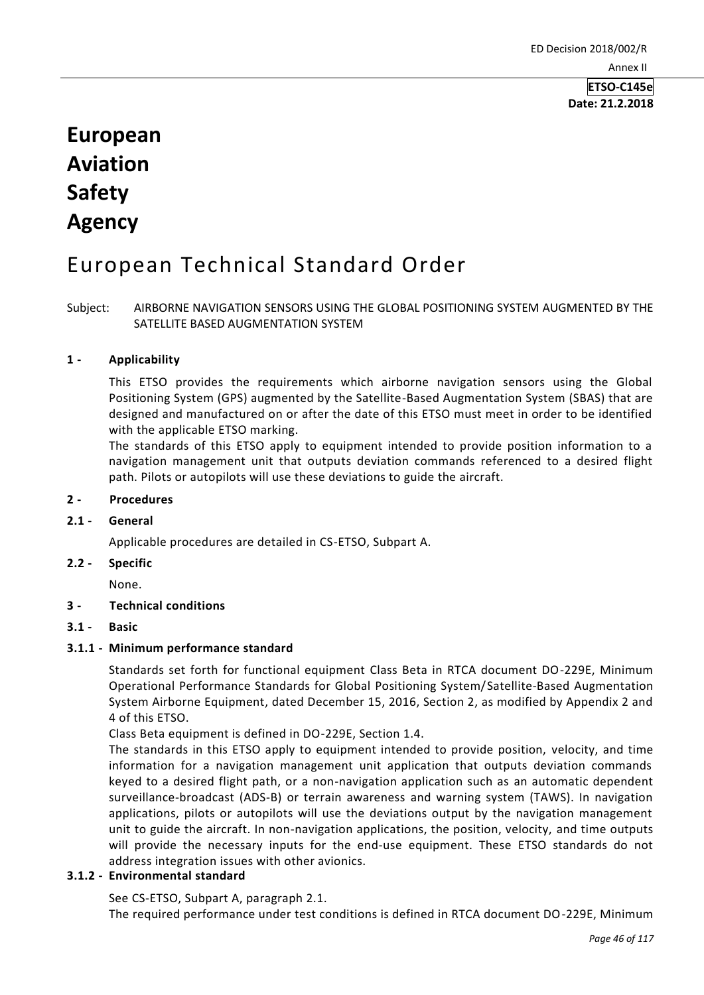# **European Aviation Safety Agency**

# European Technical Standard Order

Subject: AIRBORNE NAVIGATION SENSORS USING THE GLOBAL POSITIONING SYSTEM AUGMENTED BY THE SATELLITE BASED AUGMENTATION SYSTEM

## **1 - Applicability**

This ETSO provides the requirements which airborne navigation sensors using the Global Positioning System (GPS) augmented by the Satellite-Based Augmentation System (SBAS) that are designed and manufactured on or after the date of this ETSO must meet in order to be identified with the applicable ETSO marking.

The standards of this ETSO apply to equipment intended to provide position information to a navigation management unit that outputs deviation commands referenced to a desired flight path. Pilots or autopilots will use these deviations to guide the aircraft.

### **2 - Procedures**

#### **2.1 - General**

Applicable procedures are detailed in CS-ETSO, Subpart A.

#### **2.2 - Specific**

None.

#### **3 - Technical conditions**

**3.1 - Basic**

#### **3.1.1 - Minimum performance standard**

Standards set forth for functional equipment Class Beta in RTCA document DO-229E, Minimum Operational Performance Standards for Global Positioning System/Satellite-Based Augmentation System Airborne Equipment, dated December 15, 2016, Section 2, as modified by Appendix 2 and 4 of this ETSO.

Class Beta equipment is defined in DO-229E, Section 1.4.

The standards in this ETSO apply to equipment intended to provide position, velocity, and time information for a navigation management unit application that outputs deviation commands keyed to a desired flight path, or a non-navigation application such as an automatic dependent surveillance-broadcast (ADS-B) or terrain awareness and warning system (TAWS). In navigation applications, pilots or autopilots will use the deviations output by the navigation management unit to guide the aircraft. In non-navigation applications, the position, velocity, and time outputs will provide the necessary inputs for the end-use equipment. These ETSO standards do not address integration issues with other avionics.

# **3.1.2 - Environmental standard**

See CS-ETSO, Subpart A, paragraph 2.1.

The required performance under test conditions is defined in RTCA document DO-229E, Minimum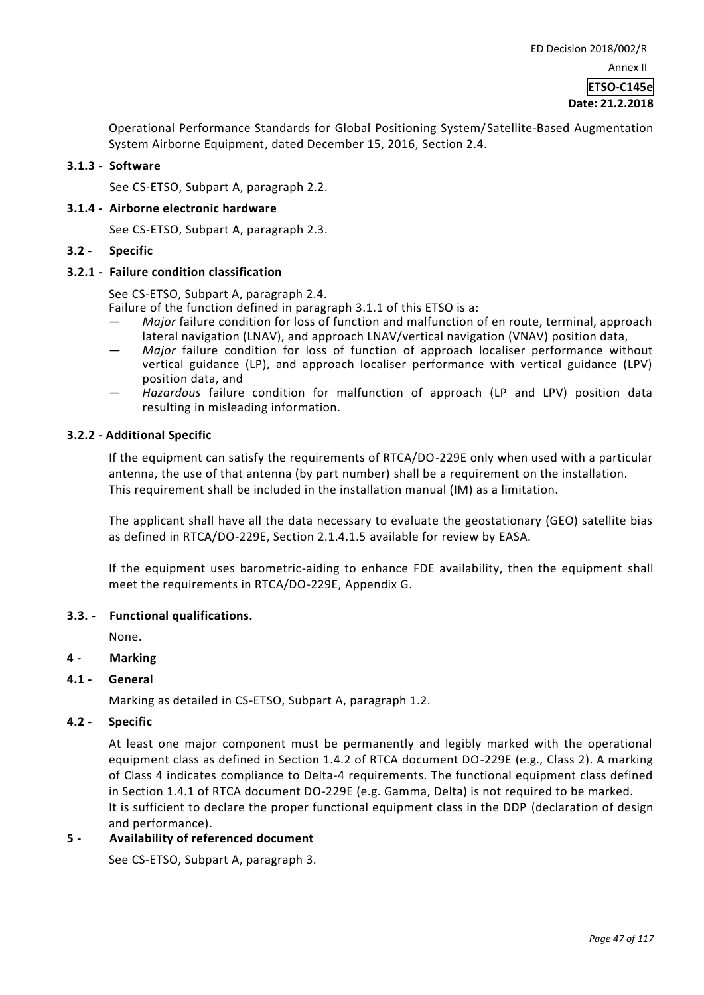# **ETSO-C145e Date: 21.2.2018**

Operational Performance Standards for Global Positioning System/Satellite-Based Augmentation System Airborne Equipment, dated December 15, 2016, Section 2.4.

#### **3.1.3 - Software**

See CS-ETSO, Subpart A, paragraph 2.2.

#### **3.1.4 - Airborne electronic hardware**

See CS-ETSO, Subpart A, paragraph 2.3.

#### **3.2 - Specific**

#### **3.2.1 - Failure condition classification**

See CS-ETSO, Subpart A, paragraph 2.4.

Failure of the function defined in paragraph 3.1.1 of this ETSO is a:

- *Major* failure condition for loss of function and malfunction of en route, terminal, approach lateral navigation (LNAV), and approach LNAV/vertical navigation (VNAV) position data,
- *Major* failure condition for loss of function of approach localiser performance without vertical guidance (LP), and approach localiser performance with vertical guidance (LPV) position data, and
- *Hazardous* failure condition for malfunction of approach (LP and LPV) position data resulting in misleading information.

#### **3.2.2 - Additional Specific**

If the equipment can satisfy the requirements of RTCA/DO-229E only when used with a particular antenna, the use of that antenna (by part number) shall be a requirement on the installation. This requirement shall be included in the installation manual (IM) as a limitation.

The applicant shall have all the data necessary to evaluate the geostationary (GEO) satellite bias as defined in RTCA/DO-229E, Section 2.1.4.1.5 available for review by EASA.

If the equipment uses barometric-aiding to enhance FDE availability, then the equipment shall meet the requirements in RTCA/DO-229E, Appendix G.

#### **3.3. - Functional qualifications.**

None.

## **4 - Marking**

#### **4.1 - General**

Marking as detailed in CS-ETSO, Subpart A, paragraph 1.2.

#### **4.2 - Specific**

At least one major component must be permanently and legibly marked with the operational equipment class as defined in Section 1.4.2 of RTCA document DO-229E (e.g., Class 2). A marking of Class 4 indicates compliance to Delta-4 requirements. The functional equipment class defined in Section 1.4.1 of RTCA document DO-229E (e.g. Gamma, Delta) is not required to be marked. It is sufficient to declare the proper functional equipment class in the DDP (declaration of design and performance).

#### **5 - Availability of referenced document**

See CS-ETSO, Subpart A, paragraph 3.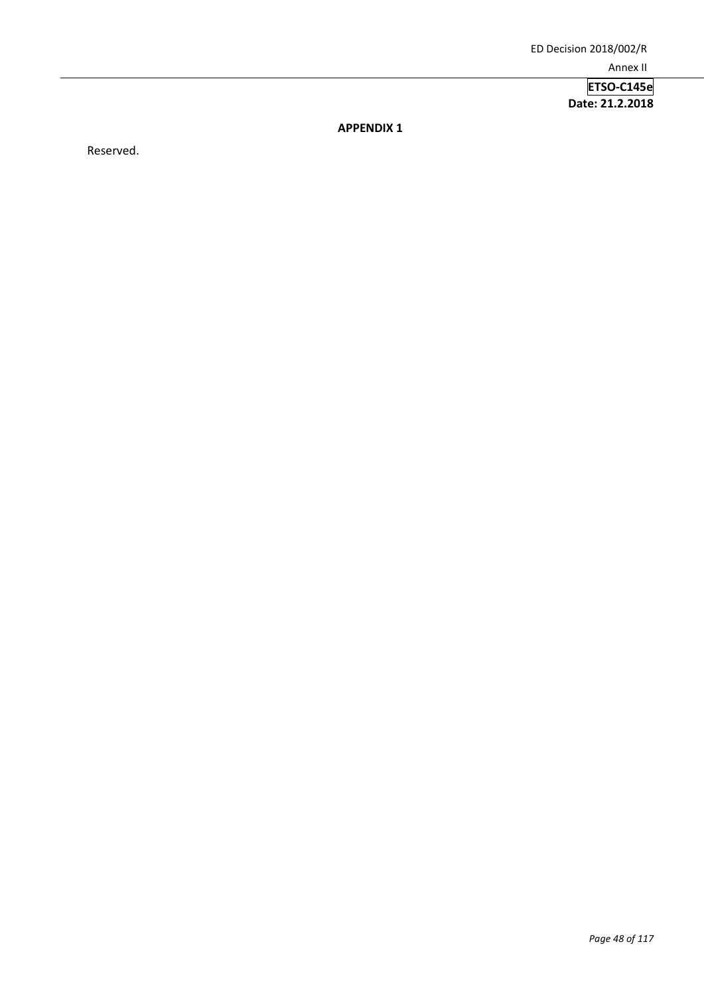**ETSO-C145e Date: 21.2.2018**

**APPENDIX 1**

Reserved.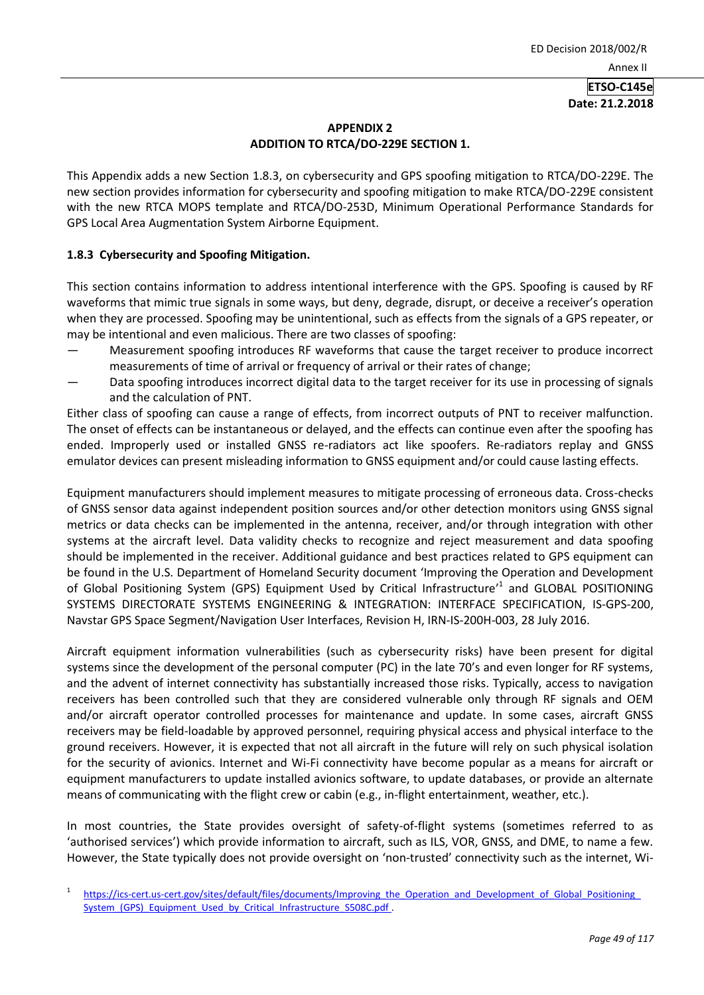### **APPENDIX 2 ADDITION TO RTCA/DO-229E SECTION 1.**

This Appendix adds a new Section 1.8.3, on cybersecurity and GPS spoofing mitigation to RTCA/DO-229E. The new section provides information for cybersecurity and spoofing mitigation to make RTCA/DO-229E consistent with the new RTCA MOPS template and RTCA/DO-253D, Minimum Operational Performance Standards for GPS Local Area Augmentation System Airborne Equipment.

## **1.8.3 Cybersecurity and Spoofing Mitigation.**

This section contains information to address intentional interference with the GPS. Spoofing is caused by RF waveforms that mimic true signals in some ways, but deny, degrade, disrupt, or deceive a receiver's operation when they are processed. Spoofing may be unintentional, such as effects from the signals of a GPS repeater, or may be intentional and even malicious. There are two classes of spoofing:

- Measurement spoofing introduces RF waveforms that cause the target receiver to produce incorrect measurements of time of arrival or frequency of arrival or their rates of change;
- Data spoofing introduces incorrect digital data to the target receiver for its use in processing of signals and the calculation of PNT.

Either class of spoofing can cause a range of effects, from incorrect outputs of PNT to receiver malfunction. The onset of effects can be instantaneous or delayed, and the effects can continue even after the spoofing has ended. Improperly used or installed GNSS re-radiators act like spoofers. Re-radiators replay and GNSS emulator devices can present misleading information to GNSS equipment and/or could cause lasting effects.

Equipment manufacturers should implement measures to mitigate processing of erroneous data. Cross-checks of GNSS sensor data against independent position sources and/or other detection monitors using GNSS signal metrics or data checks can be implemented in the antenna, receiver, and/or through integration with other systems at the aircraft level. Data validity checks to recognize and reject measurement and data spoofing should be implemented in the receiver. Additional guidance and best practices related to GPS equipment can be found in the U.S. Department of Homeland Security document 'Improving the Operation and Development of Global Positioning System (GPS) Equipment Used by Critical Infrastructure<sup>11</sup> and GLOBAL POSITIONING SYSTEMS DIRECTORATE SYSTEMS ENGINEERING & INTEGRATION: INTERFACE SPECIFICATION, IS-GPS-200, Navstar GPS Space Segment/Navigation User Interfaces, Revision H, IRN-IS-200H-003, 28 July 2016.

Aircraft equipment information vulnerabilities (such as cybersecurity risks) have been present for digital systems since the development of the personal computer (PC) in the late 70's and even longer for RF systems, and the advent of internet connectivity has substantially increased those risks. Typically, access to navigation receivers has been controlled such that they are considered vulnerable only through RF signals and OEM and/or aircraft operator controlled processes for maintenance and update. In some cases, aircraft GNSS receivers may be field-loadable by approved personnel, requiring physical access and physical interface to the ground receivers. However, it is expected that not all aircraft in the future will rely on such physical isolation for the security of avionics. Internet and Wi-Fi connectivity have become popular as a means for aircraft or equipment manufacturers to update installed avionics software, to update databases, or provide an alternate means of communicating with the flight crew or cabin (e.g., in-flight entertainment, weather, etc.).

In most countries, the State provides oversight of safety-of-flight systems (sometimes referred to as 'authorised services') which provide information to aircraft, such as ILS, VOR, GNSS, and DME, to name a few. However, the State typically does not provide oversight on 'non-trusted' connectivity such as the internet, Wi-

<sup>1</sup> https://ics-cert.us-cert.gov/sites/default/files/documents/Improving\_the\_Operation\_and\_Development\_of\_Global\_Positioning System (GPS) Equipment Used by Critical Infrastructure S508C.pdf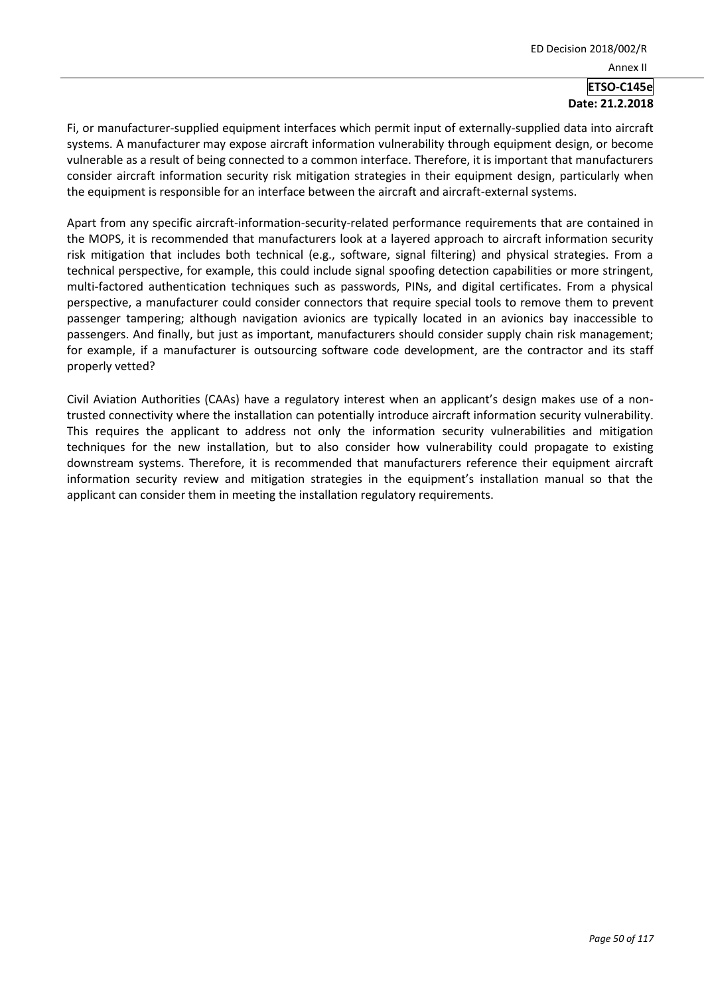Fi, or manufacturer-supplied equipment interfaces which permit input of externally-supplied data into aircraft systems. A manufacturer may expose aircraft information vulnerability through equipment design, or become vulnerable as a result of being connected to a common interface. Therefore, it is important that manufacturers consider aircraft information security risk mitigation strategies in their equipment design, particularly when the equipment is responsible for an interface between the aircraft and aircraft-external systems.

Apart from any specific aircraft-information-security-related performance requirements that are contained in the MOPS, it is recommended that manufacturers look at a layered approach to aircraft information security risk mitigation that includes both technical (e.g., software, signal filtering) and physical strategies. From a technical perspective, for example, this could include signal spoofing detection capabilities or more stringent, multi-factored authentication techniques such as passwords, PINs, and digital certificates. From a physical perspective, a manufacturer could consider connectors that require special tools to remove them to prevent passenger tampering; although navigation avionics are typically located in an avionics bay inaccessible to passengers. And finally, but just as important, manufacturers should consider supply chain risk management; for example, if a manufacturer is outsourcing software code development, are the contractor and its staff properly vetted?

Civil Aviation Authorities (CAAs) have a regulatory interest when an applicant's design makes use of a nontrusted connectivity where the installation can potentially introduce aircraft information security vulnerability. This requires the applicant to address not only the information security vulnerabilities and mitigation techniques for the new installation, but to also consider how vulnerability could propagate to existing downstream systems. Therefore, it is recommended that manufacturers reference their equipment aircraft information security review and mitigation strategies in the equipment's installation manual so that the applicant can consider them in meeting the installation regulatory requirements.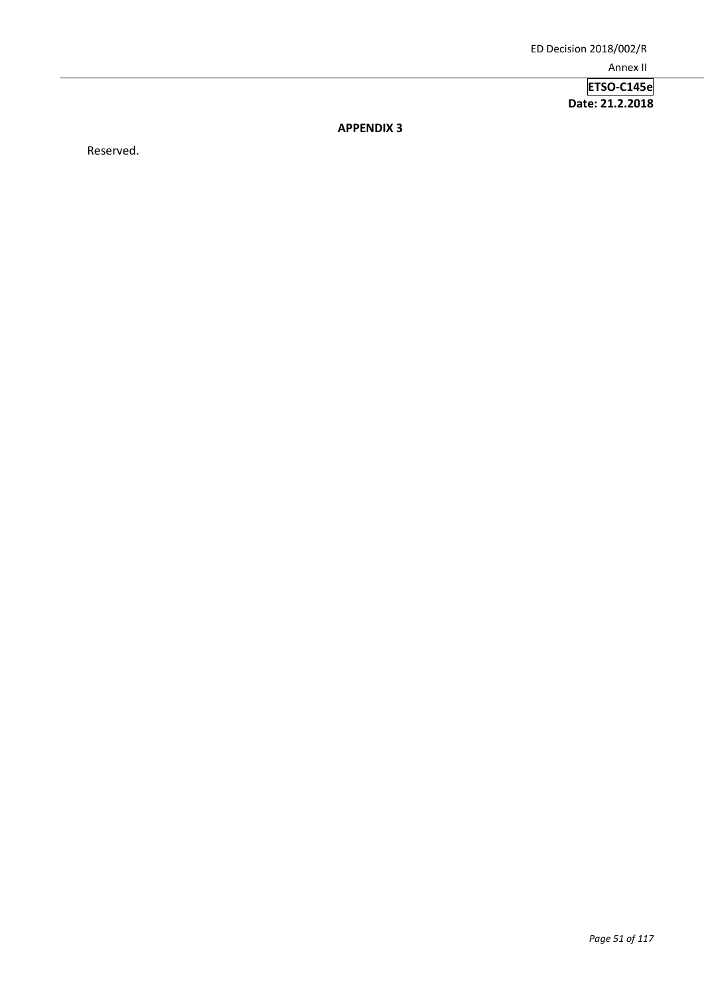**ETSO-C145e Date: 21.2.2018**

**APPENDIX 3**

Reserved.